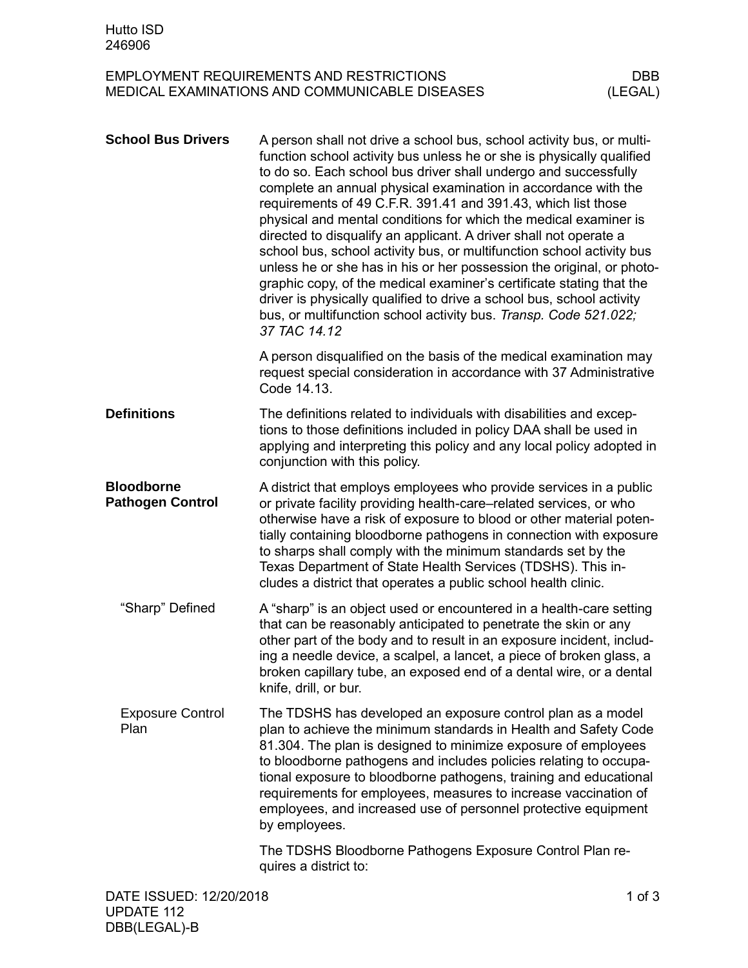## EMPLOYMENT REQUIREMENTS AND RESTRICTIONS DBB<br>MEDICAL EXAMINATIONS AND COMMUNICABLE DISEASES (LEGAL) MEDICAL EXAMINATIONS AND COMMUNICABLE DISEASES

| <b>School Bus Drivers</b>                    | A person shall not drive a school bus, school activity bus, or multi-<br>function school activity bus unless he or she is physically qualified<br>to do so. Each school bus driver shall undergo and successfully<br>complete an annual physical examination in accordance with the<br>requirements of 49 C.F.R. 391.41 and 391.43, which list those<br>physical and mental conditions for which the medical examiner is<br>directed to disqualify an applicant. A driver shall not operate a<br>school bus, school activity bus, or multifunction school activity bus<br>unless he or she has in his or her possession the original, or photo-<br>graphic copy, of the medical examiner's certificate stating that the<br>driver is physically qualified to drive a school bus, school activity<br>bus, or multifunction school activity bus. Transp. Code 521.022;<br>37 TAC 14.12 |            |
|----------------------------------------------|--------------------------------------------------------------------------------------------------------------------------------------------------------------------------------------------------------------------------------------------------------------------------------------------------------------------------------------------------------------------------------------------------------------------------------------------------------------------------------------------------------------------------------------------------------------------------------------------------------------------------------------------------------------------------------------------------------------------------------------------------------------------------------------------------------------------------------------------------------------------------------------|------------|
|                                              | A person disqualified on the basis of the medical examination may<br>request special consideration in accordance with 37 Administrative<br>Code 14.13.                                                                                                                                                                                                                                                                                                                                                                                                                                                                                                                                                                                                                                                                                                                               |            |
| <b>Definitions</b>                           | The definitions related to individuals with disabilities and excep-<br>tions to those definitions included in policy DAA shall be used in<br>applying and interpreting this policy and any local policy adopted in<br>conjunction with this policy.                                                                                                                                                                                                                                                                                                                                                                                                                                                                                                                                                                                                                                  |            |
| <b>Bloodborne</b><br><b>Pathogen Control</b> | A district that employs employees who provide services in a public<br>or private facility providing health-care–related services, or who<br>otherwise have a risk of exposure to blood or other material poten-<br>tially containing bloodborne pathogens in connection with exposure<br>to sharps shall comply with the minimum standards set by the<br>Texas Department of State Health Services (TDSHS). This in-<br>cludes a district that operates a public school health clinic.                                                                                                                                                                                                                                                                                                                                                                                               |            |
| "Sharp" Defined                              | A "sharp" is an object used or encountered in a health-care setting<br>that can be reasonably anticipated to penetrate the skin or any<br>other part of the body and to result in an exposure incident, includ-<br>ing a needle device, a scalpel, a lancet, a piece of broken glass, a<br>broken capillary tube, an exposed end of a dental wire, or a dental<br>knife, drill, or bur.                                                                                                                                                                                                                                                                                                                                                                                                                                                                                              |            |
| <b>Exposure Control</b><br>Plan              | The TDSHS has developed an exposure control plan as a model<br>plan to achieve the minimum standards in Health and Safety Code<br>81.304. The plan is designed to minimize exposure of employees<br>to bloodborne pathogens and includes policies relating to occupa-<br>tional exposure to bloodborne pathogens, training and educational<br>requirements for employees, measures to increase vaccination of<br>employees, and increased use of personnel protective equipment<br>by employees.                                                                                                                                                                                                                                                                                                                                                                                     |            |
|                                              | The TDSHS Bloodborne Pathogens Exposure Control Plan re-<br>quires a district to:                                                                                                                                                                                                                                                                                                                                                                                                                                                                                                                                                                                                                                                                                                                                                                                                    |            |
| DATE ISSUED: 12/20/2018                      |                                                                                                                                                                                                                                                                                                                                                                                                                                                                                                                                                                                                                                                                                                                                                                                                                                                                                      | $1$ of $3$ |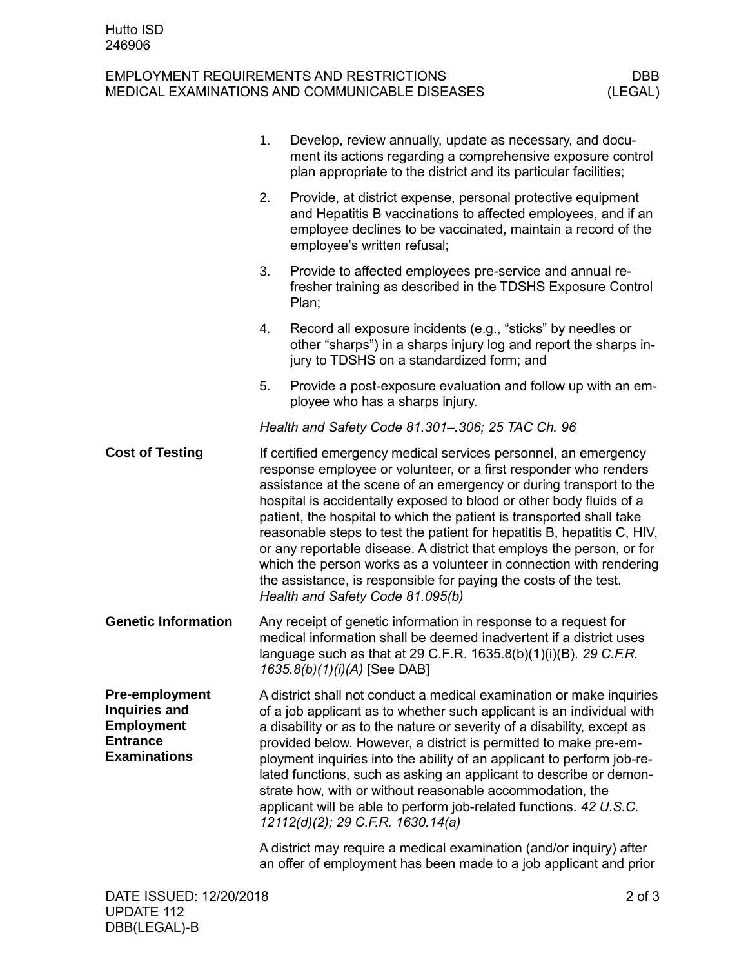## EMPLOYMENT REQUIREMENTS AND RESTRICTIONS DBB<br>MEDICAL EXAMINATIONS AND COMMUNICABLE DISEASES (LEGAL) MEDICAL EXAMINATIONS AND COMMUNICABLE DISEASES

|                                                                                                              | 1. | Develop, review annually, update as necessary, and docu-<br>ment its actions regarding a comprehensive exposure control<br>plan appropriate to the district and its particular facilities;                                                                                                                                                                                                                                                                                                                                                                                                                                                                                                 |
|--------------------------------------------------------------------------------------------------------------|----|--------------------------------------------------------------------------------------------------------------------------------------------------------------------------------------------------------------------------------------------------------------------------------------------------------------------------------------------------------------------------------------------------------------------------------------------------------------------------------------------------------------------------------------------------------------------------------------------------------------------------------------------------------------------------------------------|
|                                                                                                              | 2. | Provide, at district expense, personal protective equipment<br>and Hepatitis B vaccinations to affected employees, and if an<br>employee declines to be vaccinated, maintain a record of the<br>employee's written refusal;                                                                                                                                                                                                                                                                                                                                                                                                                                                                |
|                                                                                                              | 3. | Provide to affected employees pre-service and annual re-<br>fresher training as described in the TDSHS Exposure Control<br>Plan;                                                                                                                                                                                                                                                                                                                                                                                                                                                                                                                                                           |
|                                                                                                              | 4. | Record all exposure incidents (e.g., "sticks" by needles or<br>other "sharps") in a sharps injury log and report the sharps in-<br>jury to TDSHS on a standardized form; and                                                                                                                                                                                                                                                                                                                                                                                                                                                                                                               |
|                                                                                                              | 5. | Provide a post-exposure evaluation and follow up with an em-<br>ployee who has a sharps injury.                                                                                                                                                                                                                                                                                                                                                                                                                                                                                                                                                                                            |
|                                                                                                              |    | Health and Safety Code 81.301-.306; 25 TAC Ch. 96                                                                                                                                                                                                                                                                                                                                                                                                                                                                                                                                                                                                                                          |
| <b>Cost of Testing</b>                                                                                       |    | If certified emergency medical services personnel, an emergency<br>response employee or volunteer, or a first responder who renders<br>assistance at the scene of an emergency or during transport to the<br>hospital is accidentally exposed to blood or other body fluids of a<br>patient, the hospital to which the patient is transported shall take<br>reasonable steps to test the patient for hepatitis B, hepatitis C, HIV,<br>or any reportable disease. A district that employs the person, or for<br>which the person works as a volunteer in connection with rendering<br>the assistance, is responsible for paying the costs of the test.<br>Health and Safety Code 81.095(b) |
| <b>Genetic Information</b>                                                                                   |    | Any receipt of genetic information in response to a request for<br>medical information shall be deemed inadvertent if a district uses<br>language such as that at 29 C.F.R. 1635.8(b)(1)(i)(B). 29 C.F.R.<br>1635.8(b)(1)(i)(A) [See DAB]                                                                                                                                                                                                                                                                                                                                                                                                                                                  |
| <b>Pre-employment</b><br><b>Inquiries and</b><br><b>Employment</b><br><b>Entrance</b><br><b>Examinations</b> |    | A district shall not conduct a medical examination or make inquiries<br>of a job applicant as to whether such applicant is an individual with<br>a disability or as to the nature or severity of a disability, except as<br>provided below. However, a district is permitted to make pre-em-<br>ployment inquiries into the ability of an applicant to perform job-re-<br>lated functions, such as asking an applicant to describe or demon-<br>strate how, with or without reasonable accommodation, the<br>applicant will be able to perform job-related functions. 42 U.S.C.<br>12112(d)(2); 29 C.F.R. 1630.14(a)                                                                       |
|                                                                                                              |    | A district may require a medical examination (and/or inquiry) after<br>an offer of employment has been made to a job applicant and prior                                                                                                                                                                                                                                                                                                                                                                                                                                                                                                                                                   |
|                                                                                                              |    |                                                                                                                                                                                                                                                                                                                                                                                                                                                                                                                                                                                                                                                                                            |